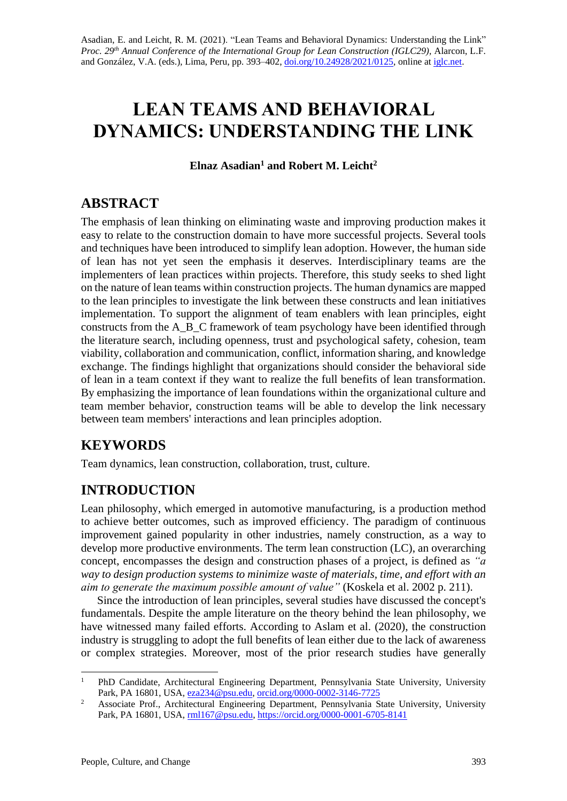# **LEAN TEAMS AND BEHAVIORAL DYNAMICS: UNDERSTANDING THE LINK**

**Elnaz Asadian<sup>1</sup> and Robert M. Leicht<sup>2</sup>**

## **ABSTRACT**

The emphasis of lean thinking on eliminating waste and improving production makes it easy to relate to the construction domain to have more successful projects. Several tools and techniques have been introduced to simplify lean adoption. However, the human side of lean has not yet seen the emphasis it deserves. Interdisciplinary teams are the implementers of lean practices within projects. Therefore, this study seeks to shed light on the nature of lean teams within construction projects. The human dynamics are mapped to the lean principles to investigate the link between these constructs and lean initiatives implementation. To support the alignment of team enablers with lean principles, eight constructs from the A\_B\_C framework of team psychology have been identified through the literature search, including openness, trust and psychological safety, cohesion, team viability, collaboration and communication, conflict, information sharing, and knowledge exchange. The findings highlight that organizations should consider the behavioral side of lean in a team context if they want to realize the full benefits of lean transformation. By emphasizing the importance of lean foundations within the organizational culture and team member behavior, construction teams will be able to develop the link necessary between team members' interactions and lean principles adoption.

## **KEYWORDS**

Team dynamics, lean construction, collaboration, trust, culture.

## **INTRODUCTION**

Lean philosophy, which emerged in automotive manufacturing, is a production method to achieve better outcomes, such as improved efficiency. The paradigm of continuous improvement gained popularity in other industries, namely construction, as a way to develop more productive environments. The term lean construction (LC), an overarching concept, encompasses the design and construction phases of a project, is defined as *"a way to design production systems to minimize waste of materials, time, and effort with an aim to generate the maximum possible amount of value"* (Koskela et al. 2002 p. 211).

Since the introduction of lean principles, several studies have discussed the concept's fundamentals. Despite the ample literature on the theory behind the lean philosophy, we have witnessed many failed efforts. According to Aslam et al. (2020), the construction industry is struggling to adopt the full benefits of lean either due to the lack of awareness or complex strategies. Moreover, most of the prior research studies have generally

<sup>&</sup>lt;sup>1</sup> PhD Candidate, Architectural Engineering Department, Pennsylvania State University, University Park, PA 16801, USA[, eza234@psu.edu,](mailto:eza234@psu.edu) [orcid.org/0000-0002-3146-7725](https://orcid.org/0000-0002-3146-7725)

<sup>&</sup>lt;sup>2</sup> Associate Prof., Architectural Engineering Department, Pennsylvania State University, University Park, PA 16801, USA, [rml167@psu.edu,](mailto:rml167@psu.edu) <https://orcid.org/0000-0001-6705-8141>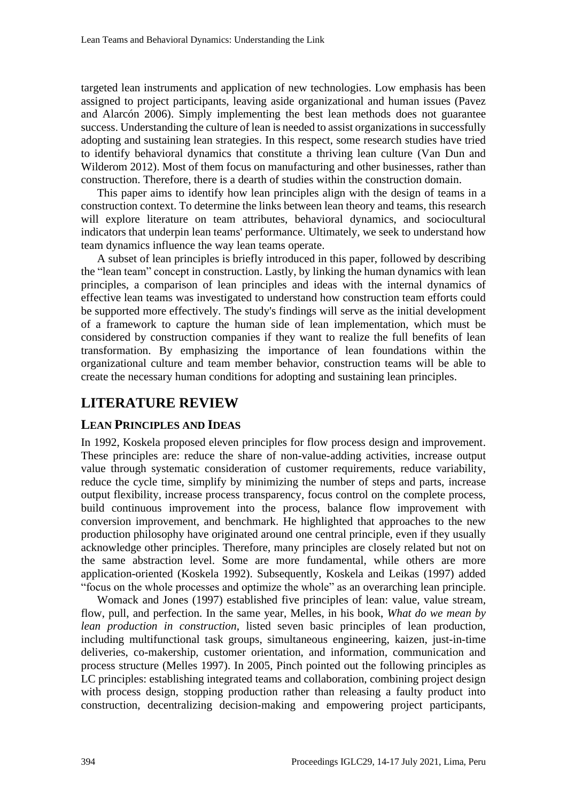targeted lean instruments and application of new technologies. Low emphasis has been assigned to project participants, leaving aside organizational and human issues (Pavez and Alarcón 2006). Simply implementing the best lean methods does not guarantee success. Understanding the culture of lean is needed to assist organizations in successfully adopting and sustaining lean strategies. In this respect, some research studies have tried to identify behavioral dynamics that constitute a thriving lean culture (Van Dun and Wilderom 2012). Most of them focus on manufacturing and other businesses, rather than construction. Therefore, there is a dearth of studies within the construction domain.

This paper aims to identify how lean principles align with the design of teams in a construction context. To determine the links between lean theory and teams, this research will explore literature on team attributes, behavioral dynamics, and sociocultural indicators that underpin lean teams' performance. Ultimately, we seek to understand how team dynamics influence the way lean teams operate.

A subset of lean principles is briefly introduced in this paper, followed by describing the "lean team" concept in construction. Lastly, by linking the human dynamics with lean principles, a comparison of lean principles and ideas with the internal dynamics of effective lean teams was investigated to understand how construction team efforts could be supported more effectively. The study's findings will serve as the initial development of a framework to capture the human side of lean implementation, which must be considered by construction companies if they want to realize the full benefits of lean transformation. By emphasizing the importance of lean foundations within the organizational culture and team member behavior, construction teams will be able to create the necessary human conditions for adopting and sustaining lean principles.

## **LITERATURE REVIEW**

## **LEAN PRINCIPLES AND IDEAS**

In 1992, Koskela proposed eleven principles for flow process design and improvement. These principles are: reduce the share of non-value-adding activities, increase output value through systematic consideration of customer requirements, reduce variability, reduce the cycle time, simplify by minimizing the number of steps and parts, increase output flexibility, increase process transparency, focus control on the complete process, build continuous improvement into the process, balance flow improvement with conversion improvement, and benchmark. He highlighted that approaches to the new production philosophy have originated around one central principle, even if they usually acknowledge other principles. Therefore, many principles are closely related but not on the same abstraction level. Some are more fundamental, while others are more application-oriented (Koskela 1992). Subsequently, Koskela and Leikas (1997) added "focus on the whole processes and optimize the whole" as an overarching lean principle.

Womack and Jones (1997) established five principles of lean: value, value stream, flow, pull, and perfection. In the same year, Melles, in his book, *What do we mean by lean production in construction*, listed seven basic principles of lean production, including multifunctional task groups, simultaneous engineering, kaizen, just-in-time deliveries, co-makership, customer orientation, and information, communication and process structure (Melles 1997). In 2005, Pinch pointed out the following principles as LC principles: establishing integrated teams and collaboration, combining project design with process design, stopping production rather than releasing a faulty product into construction, decentralizing decision-making and empowering project participants,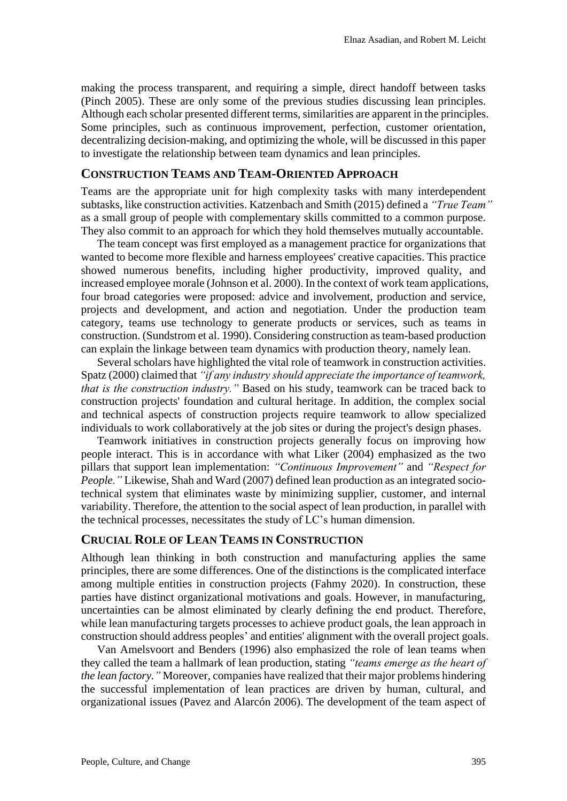making the process transparent, and requiring a simple, direct handoff between tasks (Pinch 2005). These are only some of the previous studies discussing lean principles. Although each scholar presented different terms, similarities are apparent in the principles. Some principles, such as continuous improvement, perfection, customer orientation, decentralizing decision-making, and optimizing the whole, will be discussed in this paper to investigate the relationship between team dynamics and lean principles.

### **CONSTRUCTION TEAMS AND TEAM-ORIENTED APPROACH**

Teams are the appropriate unit for high complexity tasks with many interdependent subtasks, like construction activities. Katzenbach and Smith (2015) defined a *"True Team"* as a small group of people with complementary skills committed to a common purpose. They also commit to an approach for which they hold themselves mutually accountable.

The team concept was first employed as a management practice for organizations that wanted to become more flexible and harness employees' creative capacities. This practice showed numerous benefits, including higher productivity, improved quality, and increased employee morale (Johnson et al. 2000). In the context of work team applications, four broad categories were proposed: advice and involvement, production and service, projects and development, and action and negotiation. Under the production team category, teams use technology to generate products or services, such as teams in construction. (Sundstrom et al. 1990). Considering construction as team-based production can explain the linkage between team dynamics with production theory, namely lean.

Several scholars have highlighted the vital role of teamwork in construction activities. Spatz (2000) claimed that *"if any industry should appreciate the importance of teamwork, that is the construction industry."* Based on his study, teamwork can be traced back to construction projects' foundation and cultural heritage. In addition, the complex social and technical aspects of construction projects require teamwork to allow specialized individuals to work collaboratively at the job sites or during the project's design phases.

Teamwork initiatives in construction projects generally focus on improving how people interact. This is in accordance with what Liker (2004) emphasized as the two pillars that support lean implementation: *"Continuous Improvement"* and *"Respect for People."* Likewise, Shah and Ward (2007) defined lean production as an integrated sociotechnical system that eliminates waste by minimizing supplier, customer, and internal variability. Therefore, the attention to the social aspect of lean production, in parallel with the technical processes, necessitates the study of LC's human dimension.

### **CRUCIAL ROLE OF LEAN TEAMS IN CONSTRUCTION**

Although lean thinking in both construction and manufacturing applies the same principles, there are some differences. One of the distinctions is the complicated interface among multiple entities in construction projects (Fahmy 2020). In construction, these parties have distinct organizational motivations and goals. However, in manufacturing, uncertainties can be almost eliminated by clearly defining the end product. Therefore, while lean manufacturing targets processes to achieve product goals, the lean approach in construction should address peoples' and entities' alignment with the overall project goals.

Van Amelsvoort and Benders (1996) also emphasized the role of lean teams when they called the team a hallmark of lean production, stating *"teams emerge as the heart of the lean factory."* Moreover, companies have realized that their major problems hindering the successful implementation of lean practices are driven by human, cultural, and organizational issues (Pavez and Alarcón 2006). The development of the team aspect of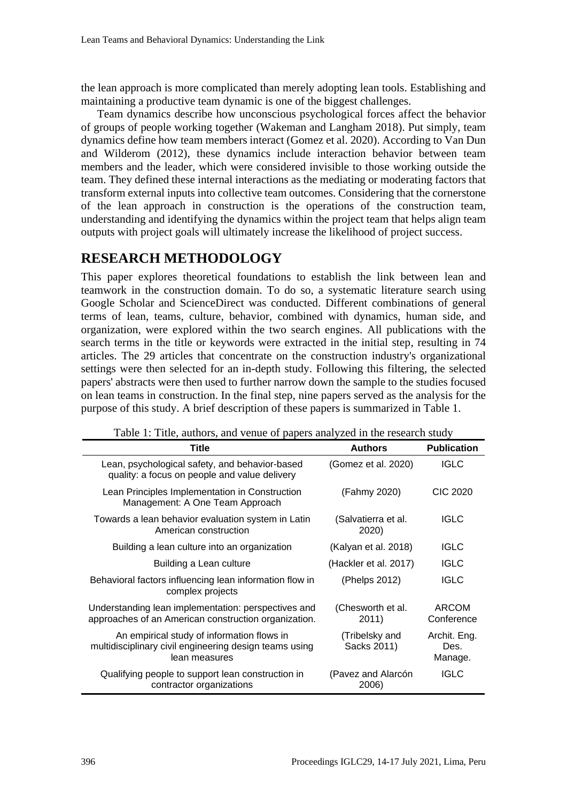the lean approach is more complicated than merely adopting lean tools. Establishing and maintaining a productive team dynamic is one of the biggest challenges.

Team dynamics describe how unconscious psychological forces affect the behavior of groups of people working together (Wakeman and Langham 2018). Put simply, team dynamics define how team members interact (Gomez et al. 2020). According to Van Dun and Wilderom (2012), these dynamics include interaction behavior between team members and the leader, which were considered invisible to those working outside the team. They defined these internal interactions as the mediating or moderating factors that transform external inputs into collective team outcomes. Considering that the cornerstone of the lean approach in construction is the operations of the construction team, understanding and identifying the dynamics within the project team that helps align team outputs with project goals will ultimately increase the likelihood of project success.

## **RESEARCH METHODOLOGY**

This paper explores theoretical foundations to establish the link between lean and teamwork in the construction domain. To do so, a systematic literature search using Google Scholar and ScienceDirect was conducted. Different combinations of general terms of lean, teams, culture, behavior, combined with dynamics, human side, and organization, were explored within the two search engines. All publications with the search terms in the title or keywords were extracted in the initial step, resulting in 74 articles. The 29 articles that concentrate on the construction industry's organizational settings were then selected for an in-depth study. Following this filtering, the selected papers' abstracts were then used to further narrow down the sample to the studies focused on lean teams in construction. In the final step, nine papers served as the analysis for the purpose of this study. A brief description of these papers is summarized in Table 1.

| Title                                                                                                                 | <b>Authors</b>                | <b>Publication</b>              |
|-----------------------------------------------------------------------------------------------------------------------|-------------------------------|---------------------------------|
| Lean, psychological safety, and behavior-based<br>quality: a focus on people and value delivery                       | (Gomez et al. 2020)           | <b>IGLC</b>                     |
| Lean Principles Implementation in Construction<br>Management: A One Team Approach                                     | (Fahmy 2020)                  | <b>CIC 2020</b>                 |
| Towards a lean behavior evaluation system in Latin<br>American construction                                           | (Salvatierra et al.<br>2020)  | <b>IGLC</b>                     |
| Building a lean culture into an organization                                                                          | (Kalyan et al. 2018)          | <b>IGLC</b>                     |
| Building a Lean culture                                                                                               | (Hackler et al. 2017)         | <b>IGLC</b>                     |
| Behavioral factors influencing lean information flow in<br>complex projects                                           | (Phelps 2012)                 | <b>IGLC</b>                     |
| Understanding lean implementation: perspectives and<br>approaches of an American construction organization.           | (Chesworth et al.<br>2011)    | <b>ARCOM</b><br>Conference      |
| An empirical study of information flows in<br>multidisciplinary civil engineering design teams using<br>lean measures | (Tribelsky and<br>Sacks 2011) | Archit. Eng.<br>Des.<br>Manage. |
| Qualifying people to support lean construction in<br>contractor organizations                                         | (Pavez and Alarcón<br>2006)   | <b>IGLC</b>                     |

Table 1: Title, authors, and venue of papers analyzed in the research study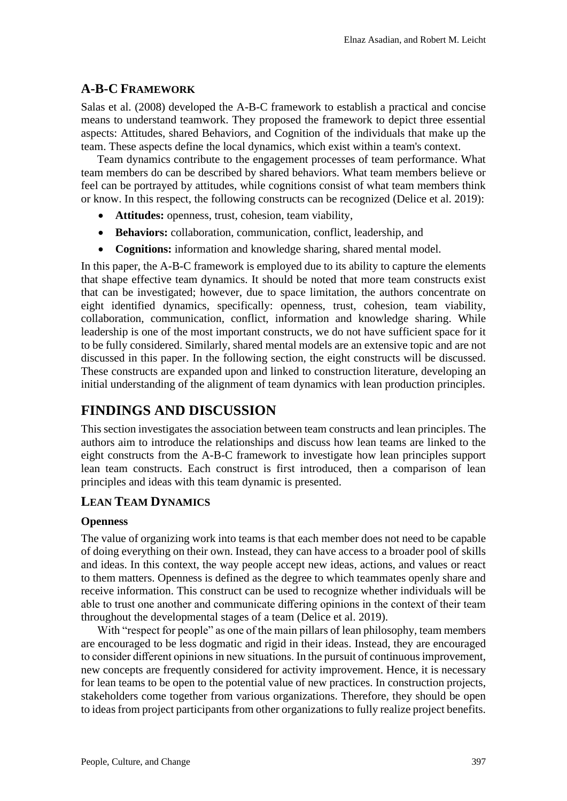## **A-B-C FRAMEWORK**

Salas et al. (2008) developed the A-B-C framework to establish a practical and concise means to understand teamwork. They proposed the framework to depict three essential aspects: Attitudes, shared Behaviors, and Cognition of the individuals that make up the team. These aspects define the local dynamics, which exist within a team's context.

Team dynamics contribute to the engagement processes of team performance. What team members do can be described by shared behaviors. What team members believe or feel can be portrayed by attitudes, while cognitions consist of what team members think or know. In this respect, the following constructs can be recognized (Delice et al. 2019):

- **Attitudes:** openness, trust, cohesion, team viability,
- **Behaviors:** collaboration, communication, conflict, leadership, and
- **Cognitions:** information and knowledge sharing, shared mental model.

In this paper, the A-B-C framework is employed due to its ability to capture the elements that shape effective team dynamics. It should be noted that more team constructs exist that can be investigated; however, due to space limitation, the authors concentrate on eight identified dynamics, specifically: openness, trust, cohesion, team viability, collaboration, communication, conflict, information and knowledge sharing. While leadership is one of the most important constructs, we do not have sufficient space for it to be fully considered. Similarly, shared mental models are an extensive topic and are not discussed in this paper. In the following section, the eight constructs will be discussed. These constructs are expanded upon and linked to construction literature, developing an initial understanding of the alignment of team dynamics with lean production principles.

## **FINDINGS AND DISCUSSION**

This section investigates the association between team constructs and lean principles. The authors aim to introduce the relationships and discuss how lean teams are linked to the eight constructs from the A-B-C framework to investigate how lean principles support lean team constructs. Each construct is first introduced, then a comparison of lean principles and ideas with this team dynamic is presented.

## **LEAN TEAM DYNAMICS**

### **Openness**

The value of organizing work into teams is that each member does not need to be capable of doing everything on their own. Instead, they can have access to a broader pool of skills and ideas. In this context, the way people accept new ideas, actions, and values or react to them matters. Openness is defined as the degree to which teammates openly share and receive information. This construct can be used to recognize whether individuals will be able to trust one another and communicate differing opinions in the context of their team throughout the developmental stages of a team (Delice et al. 2019).

With "respect for people" as one of the main pillars of lean philosophy, team members are encouraged to be less dogmatic and rigid in their ideas. Instead, they are encouraged to consider different opinions in new situations. In the pursuit of continuous improvement, new concepts are frequently considered for activity improvement. Hence, it is necessary for lean teams to be open to the potential value of new practices. In construction projects, stakeholders come together from various organizations. Therefore, they should be open to ideas from project participants from other organizations to fully realize project benefits.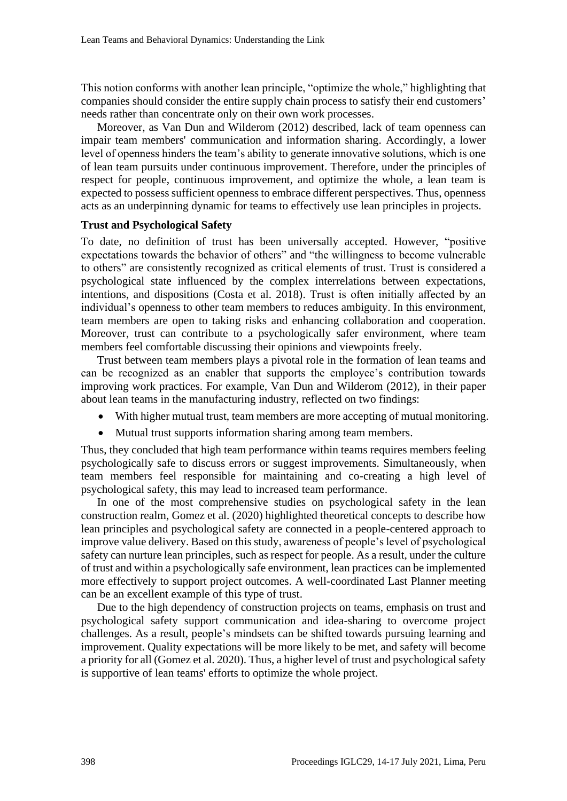This notion conforms with another lean principle, "optimize the whole," highlighting that companies should consider the entire supply chain process to satisfy their end customers' needs rather than concentrate only on their own work processes.

Moreover, as Van Dun and Wilderom (2012) described, lack of team openness can impair team members' communication and information sharing. Accordingly, a lower level of openness hinders the team's ability to generate innovative solutions, which is one of lean team pursuits under continuous improvement. Therefore, under the principles of respect for people, continuous improvement, and optimize the whole, a lean team is expected to possess sufficient openness to embrace different perspectives. Thus, openness acts as an underpinning dynamic for teams to effectively use lean principles in projects.

#### **Trust and Psychological Safety**

To date, no definition of trust has been universally accepted. However, "positive expectations towards the behavior of others" and "the willingness to become vulnerable to others" are consistently recognized as critical elements of trust. Trust is considered a psychological state influenced by the complex interrelations between expectations, intentions, and dispositions (Costa et al. 2018). Trust is often initially affected by an individual's openness to other team members to reduces ambiguity. In this environment, team members are open to taking risks and enhancing collaboration and cooperation. Moreover, trust can contribute to a psychologically safer environment, where team members feel comfortable discussing their opinions and viewpoints freely.

Trust between team members plays a pivotal role in the formation of lean teams and can be recognized as an enabler that supports the employee's contribution towards improving work practices. For example, Van Dun and Wilderom (2012), in their paper about lean teams in the manufacturing industry, reflected on two findings:

- With higher mutual trust, team members are more accepting of mutual monitoring.
- Mutual trust supports information sharing among team members.

Thus, they concluded that high team performance within teams requires members feeling psychologically safe to discuss errors or suggest improvements. Simultaneously, when team members feel responsible for maintaining and co-creating a high level of psychological safety, this may lead to increased team performance.

In one of the most comprehensive studies on psychological safety in the lean construction realm, Gomez et al. (2020) highlighted theoretical concepts to describe how lean principles and psychological safety are connected in a people-centered approach to improve value delivery. Based on this study, awareness of people's level of psychological safety can nurture lean principles, such as respect for people. As a result, under the culture of trust and within a psychologically safe environment, lean practices can be implemented more effectively to support project outcomes. A well-coordinated Last Planner meeting can be an excellent example of this type of trust.

Due to the high dependency of construction projects on teams, emphasis on trust and psychological safety support communication and idea-sharing to overcome project challenges. As a result, people's mindsets can be shifted towards pursuing learning and improvement. Quality expectations will be more likely to be met, and safety will become a priority for all (Gomez et al. 2020). Thus, a higher level of trust and psychological safety is supportive of lean teams' efforts to optimize the whole project.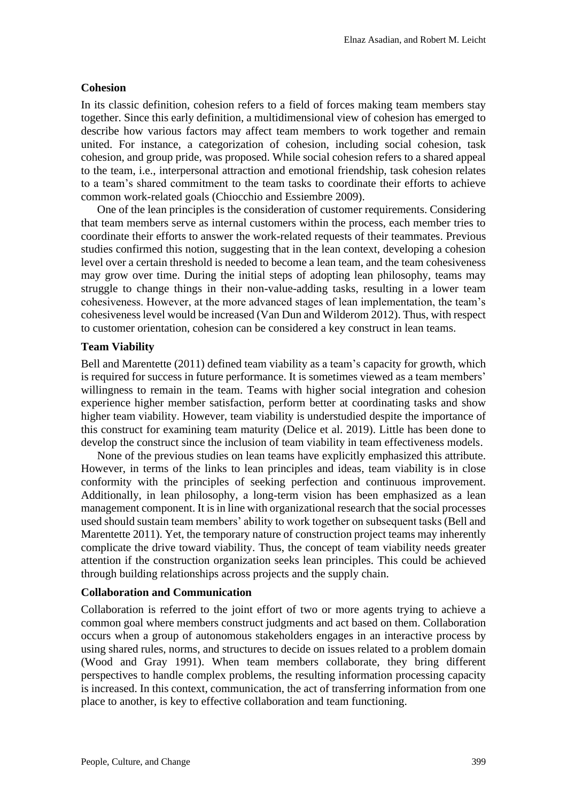#### **Cohesion**

In its classic definition, cohesion refers to a field of forces making team members stay together. Since this early definition, a multidimensional view of cohesion has emerged to describe how various factors may affect team members to work together and remain united. For instance, a categorization of cohesion, including social cohesion, task cohesion, and group pride, was proposed. While social cohesion refers to a shared appeal to the team, i.e., interpersonal attraction and emotional friendship, task cohesion relates to a team's shared commitment to the team tasks to coordinate their efforts to achieve common work-related goals (Chiocchio and Essiembre 2009).

One of the lean principles is the consideration of customer requirements. Considering that team members serve as internal customers within the process, each member tries to coordinate their efforts to answer the work-related requests of their teammates. Previous studies confirmed this notion, suggesting that in the lean context, developing a cohesion level over a certain threshold is needed to become a lean team, and the team cohesiveness may grow over time. During the initial steps of adopting lean philosophy, teams may struggle to change things in their non-value-adding tasks, resulting in a lower team cohesiveness. However, at the more advanced stages of lean implementation, the team's cohesiveness level would be increased (Van Dun and Wilderom 2012). Thus, with respect to customer orientation, cohesion can be considered a key construct in lean teams.

#### **Team Viability**

Bell and Marentette (2011) defined team viability as a team's capacity for growth, which is required for success in future performance. It is sometimes viewed as a team members' willingness to remain in the team. Teams with higher social integration and cohesion experience higher member satisfaction, perform better at coordinating tasks and show higher team viability. However, team viability is understudied despite the importance of this construct for examining team maturity (Delice et al. 2019). Little has been done to develop the construct since the inclusion of team viability in team effectiveness models.

None of the previous studies on lean teams have explicitly emphasized this attribute. However, in terms of the links to lean principles and ideas, team viability is in close conformity with the principles of seeking perfection and continuous improvement. Additionally, in lean philosophy, a long-term vision has been emphasized as a lean management component. It is in line with organizational research that the social processes used should sustain team members' ability to work together on subsequent tasks (Bell and Marentette 2011). Yet, the temporary nature of construction project teams may inherently complicate the drive toward viability. Thus, the concept of team viability needs greater attention if the construction organization seeks lean principles. This could be achieved through building relationships across projects and the supply chain.

#### **Collaboration and Communication**

Collaboration is referred to the joint effort of two or more agents trying to achieve a common goal where members construct judgments and act based on them. Collaboration occurs when a group of autonomous stakeholders engages in an interactive process by using shared rules, norms, and structures to decide on issues related to a problem domain (Wood and Gray 1991). When team members collaborate, they bring different perspectives to handle complex problems, the resulting information processing capacity is increased. In this context, communication, the act of transferring information from one place to another, is key to effective collaboration and team functioning.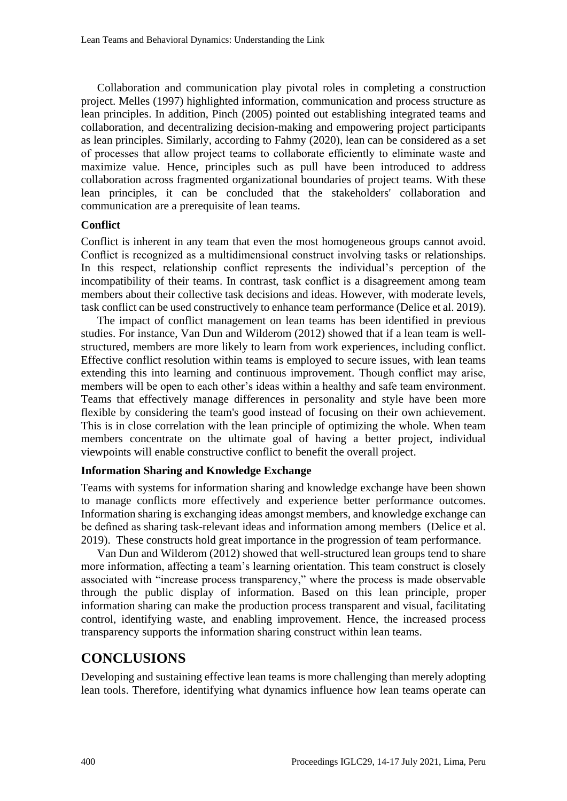Collaboration and communication play pivotal roles in completing a construction project. Melles (1997) highlighted information, communication and process structure as lean principles. In addition, Pinch (2005) pointed out establishing integrated teams and collaboration, and decentralizing decision-making and empowering project participants as lean principles. Similarly, according to Fahmy (2020), lean can be considered as a set of processes that allow project teams to collaborate efficiently to eliminate waste and maximize value. Hence, principles such as pull have been introduced to address collaboration across fragmented organizational boundaries of project teams. With these lean principles, it can be concluded that the stakeholders' collaboration and communication are a prerequisite of lean teams.

#### **Conflict**

Conflict is inherent in any team that even the most homogeneous groups cannot avoid. Conflict is recognized as a multidimensional construct involving tasks or relationships. In this respect, relationship conflict represents the individual's perception of the incompatibility of their teams. In contrast, task conflict is a disagreement among team members about their collective task decisions and ideas. However, with moderate levels, task conflict can be used constructively to enhance team performance (Delice et al. 2019).

The impact of conflict management on lean teams has been identified in previous studies. For instance, Van Dun and Wilderom (2012) showed that if a lean team is wellstructured, members are more likely to learn from work experiences, including conflict. Effective conflict resolution within teams is employed to secure issues, with lean teams extending this into learning and continuous improvement. Though conflict may arise, members will be open to each other's ideas within a healthy and safe team environment. Teams that effectively manage differences in personality and style have been more flexible by considering the team's good instead of focusing on their own achievement. This is in close correlation with the lean principle of optimizing the whole. When team members concentrate on the ultimate goal of having a better project, individual viewpoints will enable constructive conflict to benefit the overall project.

#### **Information Sharing and Knowledge Exchange**

Teams with systems for information sharing and knowledge exchange have been shown to manage conflicts more effectively and experience better performance outcomes. Information sharing is exchanging ideas amongst members, and knowledge exchange can be defined as sharing task-relevant ideas and information among members (Delice et al. 2019). These constructs hold great importance in the progression of team performance.

Van Dun and Wilderom (2012) showed that well-structured lean groups tend to share more information, affecting a team's learning orientation. This team construct is closely associated with "increase process transparency," where the process is made observable through the public display of information. Based on this lean principle, proper information sharing can make the production process transparent and visual, facilitating control, identifying waste, and enabling improvement. Hence, the increased process transparency supports the information sharing construct within lean teams.

## **CONCLUSIONS**

Developing and sustaining effective lean teams is more challenging than merely adopting lean tools. Therefore, identifying what dynamics influence how lean teams operate can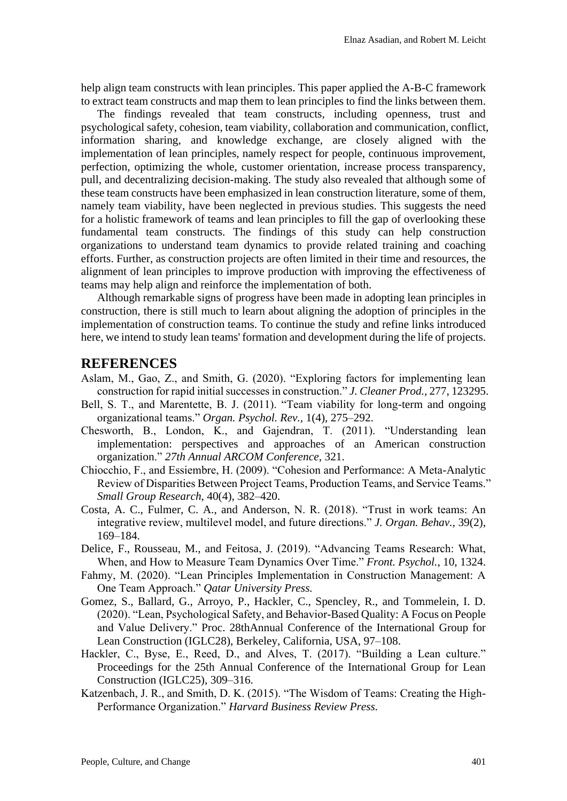help align team constructs with lean principles. This paper applied the A-B-C framework to extract team constructs and map them to lean principles to find the links between them.

The findings revealed that team constructs, including openness, trust and psychological safety, cohesion, team viability, collaboration and communication, conflict, information sharing, and knowledge exchange, are closely aligned with the implementation of lean principles, namely respect for people, continuous improvement, perfection, optimizing the whole, customer orientation, increase process transparency, pull, and decentralizing decision-making. The study also revealed that although some of these team constructs have been emphasized in lean construction literature, some of them, namely team viability, have been neglected in previous studies. This suggests the need for a holistic framework of teams and lean principles to fill the gap of overlooking these fundamental team constructs. The findings of this study can help construction organizations to understand team dynamics to provide related training and coaching efforts. Further, as construction projects are often limited in their time and resources, the alignment of lean principles to improve production with improving the effectiveness of teams may help align and reinforce the implementation of both.

Although remarkable signs of progress have been made in adopting lean principles in construction, there is still much to learn about aligning the adoption of principles in the implementation of construction teams. To continue the study and refine links introduced here, we intend to study lean teams' formation and development during the life of projects.

### **REFERENCES**

- Aslam, M., Gao, Z., and Smith, G. (2020). "Exploring factors for implementing lean construction for rapid initial successes in construction." *J. Cleaner Prod.,* 277, 123295.
- Bell, S. T., and Marentette, B. J. (2011). "Team viability for long-term and ongoing organizational teams." *Organ. Psychol. Rev.,* 1(4), 275–292.
- Chesworth, B., London, K., and Gajendran, T. (2011). "Understanding lean implementation: perspectives and approaches of an American construction organization." *27th Annual ARCOM Conference,* 321.
- Chiocchio, F., and Essiembre, H. (2009). "Cohesion and Performance: A Meta-Analytic Review of Disparities Between Project Teams, Production Teams, and Service Teams." *Small Group Research*, 40(4), 382–420.
- Costa, A. C., Fulmer, C. A., and Anderson, N. R. (2018). "Trust in work teams: An integrative review, multilevel model, and future directions." *J. Organ. Behav.,* 39(2), 169–184.
- Delice, F., Rousseau, M., and Feitosa, J. (2019). "Advancing Teams Research: What, When, and How to Measure Team Dynamics Over Time." *Front. Psychol.,* 10, 1324.
- Fahmy, M. (2020). "Lean Principles Implementation in Construction Management: A One Team Approach." *Qatar University Press.*
- Gomez, S., Ballard, G., Arroyo, P., Hackler, C., Spencley, R., and Tommelein, I. D. (2020). "Lean, Psychological Safety, and Behavior-Based Quality: A Focus on People and Value Delivery." Proc. 28thAnnual Conference of the International Group for Lean Construction (IGLC28), Berkeley, California, USA, 97–108.
- Hackler, C., Byse, E., Reed, D., and Alves, T. (2017). "Building a Lean culture." Proceedings for the 25th Annual Conference of the International Group for Lean Construction (IGLC25), 309–316.
- Katzenbach, J. R., and Smith, D. K. (2015). "The Wisdom of Teams: Creating the High-Performance Organization." *Harvard Business Review Press.*